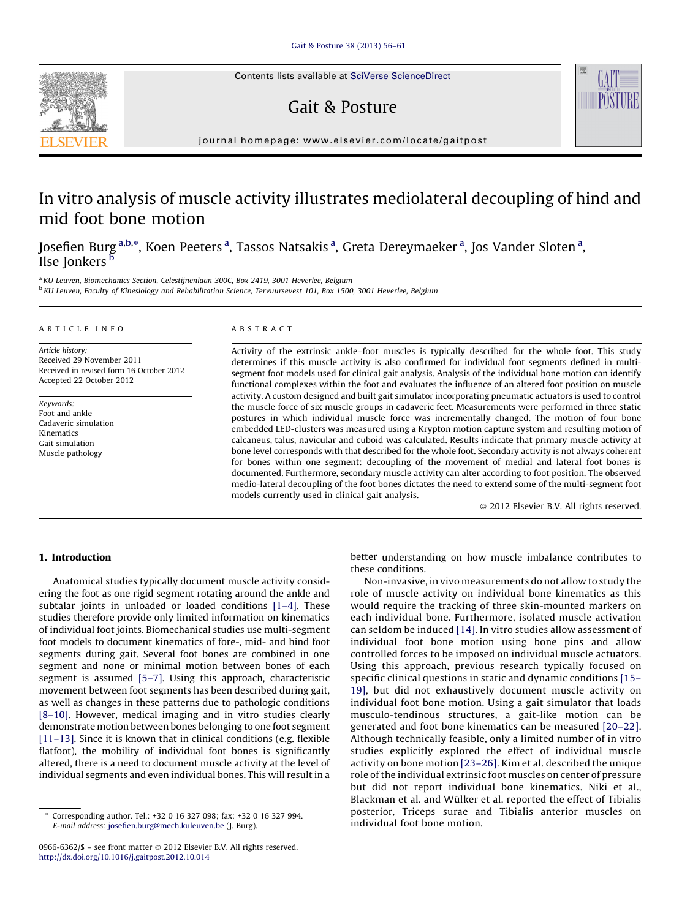Contents lists available at SciVerse [ScienceDirect](http://www.sciencedirect.com/science/journal/09666362)

# Gait & Posture



journal homepage: www.elsevier.com/locate/gaitpost

# In vitro analysis of muscle activity illustrates mediolateral decoupling of hind and mid foot bone motion

Josefien Burg <sup>a,b,</sup>\*, Koen Peeters <sup>a</sup>, Tassos Natsakis <sup>a</sup>, Greta Dereymaeker <sup>a</sup>, Jos Vander Sloten <sup>a</sup>, Ilse Jonkers<sup>b</sup>

<sup>a</sup> KU Leuven, Biomechanics Section, Celestijnenlaan 300C, Box 2419, 3001 Heverlee, Belgium <sup>b</sup> KU Leuven, Faculty of Kinesiology and Rehabilitation Science, Tervuursevest 101, Box 1500, 3001 Heverlee, Belgium

#### A R T I C L E I N F O

Article history: Received 29 November 2011 Received in revised form 16 October 2012 Accepted 22 October 2012

Keywords: Foot and ankle Cadaveric simulation Kinematics Gait simulation Muscle pathology

#### A B S T R A C T

Activity of the extrinsic ankle–foot muscles is typically described for the whole foot. This study determines if this muscle activity is also confirmed for individual foot segments defined in multisegment foot models used for clinical gait analysis. Analysis of the individual bone motion can identify functional complexes within the foot and evaluates the influence of an altered foot position on muscle activity. A custom designed and built gait simulator incorporating pneumatic actuators is used to control the muscle force of six muscle groups in cadaveric feet. Measurements were performed in three static postures in which individual muscle force was incrementally changed. The motion of four bone embedded LED-clusters was measured using a Krypton motion capture system and resulting motion of calcaneus, talus, navicular and cuboid was calculated. Results indicate that primary muscle activity at bone level corresponds with that described for the whole foot. Secondary activity is not always coherent for bones within one segment: decoupling of the movement of medial and lateral foot bones is documented. Furthermore, secondary muscle activity can alter according to foot position. The observed medio-lateral decoupling of the foot bones dictates the need to extend some of the multi-segment foot models currently used in clinical gait analysis.

- 2012 Elsevier B.V. All rights reserved.

# 1. Introduction

Anatomical studies typically document muscle activity considering the foot as one rigid segment rotating around the ankle and subtalar joints in unloaded or loaded conditions [\[1–4\]](#page-4-0). These studies therefore provide only limited information on kinematics of individual foot joints. Biomechanical studies use multi-segment foot models to document kinematics of fore-, mid- and hind foot segments during gait. Several foot bones are combined in one segment and none or minimal motion between bones of each segment is assumed [\[5–7\]](#page-4-0). Using this approach, characteristic movement between foot segments has been described during gait, as well as changes in these patterns due to pathologic conditions [\[8–10\].](#page-4-0) However, medical imaging and in vitro studies clearly demonstrate motion between bones belonging to one foot segment [\[11–13\].](#page-5-0) Since it is known that in clinical conditions (e.g. flexible flatfoot), the mobility of individual foot bones is significantly altered, there is a need to document muscle activity at the level of individual segments and even individual bones. This will result in a

better understanding on how muscle imbalance contributes to these conditions.

Non-invasive, in vivo measurements do not allow to study the role of muscle activity on individual bone kinematics as this would require the tracking of three skin-mounted markers on each individual bone. Furthermore, isolated muscle activation can seldom be induced [\[14\]](#page-5-0). In vitro studies allow assessment of individual foot bone motion using bone pins and allow controlled forces to be imposed on individual muscle actuators. Using this approach, previous research typically focused on specific clinical questions in static and dynamic conditions [\[15–](#page-5-0) [19\],](#page-5-0) but did not exhaustively document muscle activity on individual foot bone motion. Using a gait simulator that loads musculo-tendinous structures, a gait-like motion can be generated and foot bone kinematics can be measured [\[20–22\].](#page-5-0) Although technically feasible, only a limited number of in vitro studies explicitly explored the effect of individual muscle activity on bone motion [\[23–26\]](#page-5-0). Kim et al. described the unique role of the individual extrinsic foot muscles on center of pressure but did not report individual bone kinematics. Niki et al., Blackman et al. and Wülker et al. reported the effect of Tibialis posterior, Triceps surae and Tibialis anterior muscles on individual foot bone motion.

<sup>\*</sup> Corresponding author. Tel.: +32 0 16 327 098; fax: +32 0 16 327 994. E-mail address: [josefien.burg@mech.kuleuven.be](mailto:josefien.burg@mech.kuleuven.be) (J. Burg).

<sup>0966-6362/\$ –</sup> see front matter © 2012 Elsevier B.V. All rights reserved. <http://dx.doi.org/10.1016/j.gaitpost.2012.10.014>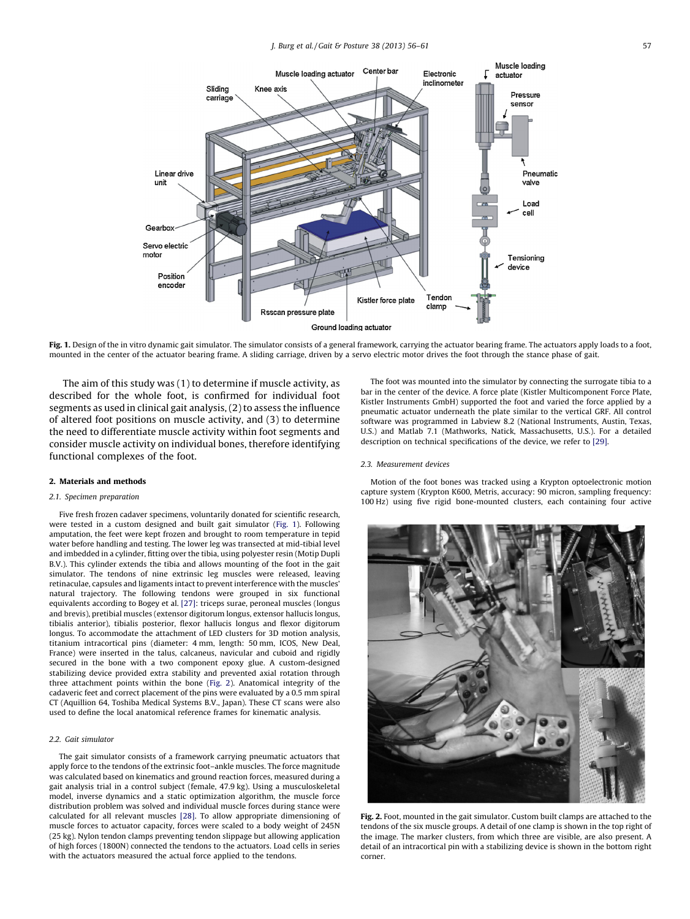

Fig. 1. Design of the in vitro dynamic gait simulator. The simulator consists of a general framework, carrying the actuator bearing frame. The actuators apply loads to a foot, mounted in the center of the actuator bearing frame. A sliding carriage, driven by a servo electric motor drives the foot through the stance phase of gait.

The aim of this study was (1) to determine if muscle activity, as described for the whole foot, is confirmed for individual foot segments as used in clinical gait analysis, (2) to assess the influence of altered foot positions on muscle activity, and (3) to determine the need to differentiate muscle activity within foot segments and consider muscle activity on individual bones, therefore identifying functional complexes of the foot.

#### 2. Materials and methods

#### 2.1. Specimen preparation

Five fresh frozen cadaver specimens, voluntarily donated for scientific research, were tested in a custom designed and built gait simulator (Fig. 1). Following amputation, the feet were kept frozen and brought to room temperature in tepid water before handling and testing. The lower leg was transected at mid-tibial level and imbedded in a cylinder, fitting over the tibia, using polyester resin (Motip Dupli B.V.). This cylinder extends the tibia and allows mounting of the foot in the gait simulator. The tendons of nine extrinsic leg muscles were released, leaving retinaculae, capsules and ligaments intact to prevent interference with the muscles' natural trajectory. The following tendons were grouped in six functional equivalents according to Bogey et al. [\[27\]:](#page-5-0) triceps surae, peroneal muscles (longus and brevis), pretibial muscles (extensor digitorum longus, extensor hallucis longus, tibialis anterior), tibialis posterior, flexor hallucis longus and flexor digitorum longus. To accommodate the attachment of LED clusters for 3D motion analysis, titanium intracortical pins (diameter: 4 mm, length: 50 mm, ICOS, New Deal, France) were inserted in the talus, calcaneus, navicular and cuboid and rigidly secured in the bone with a two component epoxy glue. A custom-designed stabilizing device provided extra stability and prevented axial rotation through three attachment points within the bone (Fig. 2). Anatomical integrity of the cadaveric feet and correct placement of the pins were evaluated by a 0.5 mm spiral CT (Aquillion 64, Toshiba Medical Systems B.V., Japan). These CT scans were also used to define the local anatomical reference frames for kinematic analysis.

## 2.2. Gait simulator

The gait simulator consists of a framework carrying pneumatic actuators that apply force to the tendons of the extrinsic foot–ankle muscles. The force magnitude was calculated based on kinematics and ground reaction forces, measured during a gait analysis trial in a control subject (female, 47.9 kg). Using a musculoskeletal model, inverse dynamics and a static optimization algorithm, the muscle force distribution problem was solved and individual muscle forces during stance were calculated for all relevant muscles [\[28\]](#page-5-0). To allow appropriate dimensioning of muscle forces to actuator capacity, forces were scaled to a body weight of 245N (25 kg). Nylon tendon clamps preventing tendon slippage but allowing application of high forces (1800N) connected the tendons to the actuators. Load cells in series with the actuators measured the actual force applied to the tendons.

The foot was mounted into the simulator by connecting the surrogate tibia to a bar in the center of the device. A force plate (Kistler Multicomponent Force Plate, Kistler Instruments GmbH) supported the foot and varied the force applied by a pneumatic actuator underneath the plate similar to the vertical GRF. All control software was programmed in Labview 8.2 (National Instruments, Austin, Texas, U.S.) and Matlab 7.1 (Mathworks, Natick, Massachusetts, U.S.). For a detailed description on technical specifications of the device, we refer to [\[29\]](#page-5-0).

#### 2.3. Measurement devices

Motion of the foot bones was tracked using a Krypton optoelectronic motion capture system (Krypton K600, Metris, accuracy: 90 micron, sampling frequency: 100 Hz) using five rigid bone-mounted clusters, each containing four active



Fig. 2. Foot, mounted in the gait simulator. Custom built clamps are attached to the tendons of the six muscle groups. A detail of one clamp is shown in the top right of the image. The marker clusters, from which three are visible, are also present. A detail of an intracortical pin with a stabilizing device is shown in the bottom right corner.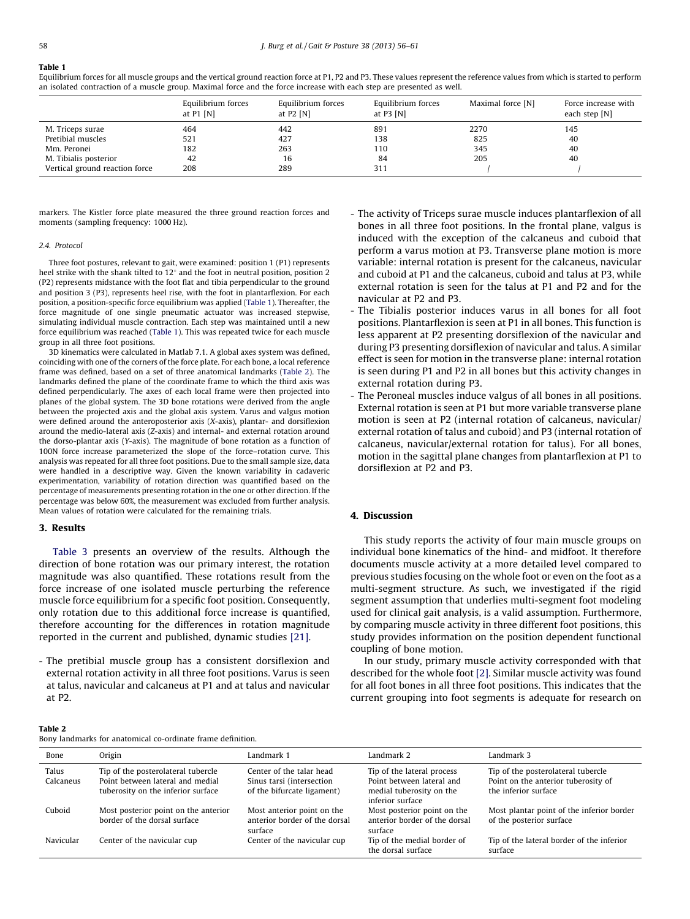# Table 1

Equilibrium forces for all muscle groups and the vertical ground reaction force at P1, P2 and P3. These values represent the reference values from which is started to perform an isolated contraction of a muscle group. Maximal force and the force increase with each step are presented as well.

|                                | Equilibrium forces<br>at $P1$ [N] | Equilibrium forces<br>at $P2$ [N] | Equilibrium forces<br>at $P3$ [N] | Maximal force [N] | Force increase with<br>each step [N] |
|--------------------------------|-----------------------------------|-----------------------------------|-----------------------------------|-------------------|--------------------------------------|
| M. Triceps surae               | 464                               | 442                               | 891                               | 2270              | 145                                  |
| Pretibial muscles              | 521                               | 427                               | 138                               | 825               | 40                                   |
| Mm. Peronei                    | 182                               | 263                               | 110                               | 345               | 40                                   |
| M. Tibialis posterior          | 42                                | 16                                | 84                                | 205               | 40                                   |
| Vertical ground reaction force | 208                               | 289                               | 311                               |                   |                                      |

markers. The Kistler force plate measured the three ground reaction forces and moments (sampling frequency: 1000 Hz).

#### 2.4. Protocol

Three foot postures, relevant to gait, were examined: position 1 (P1) represents heel strike with the shank tilted to  $12^{\circ}$  and the foot in neutral position, position 2 (P2) represents midstance with the foot flat and tibia perpendicular to the ground and position 3 (P3), represents heel rise, with the foot in plantarflexion. For each position, a position-specific force equilibrium was applied (Table 1). Thereafter, the force magnitude of one single pneumatic actuator was increased stepwise, simulating individual muscle contraction. Each step was maintained until a new force equilibrium was reached (Table 1). This was repeated twice for each muscle group in all three foot positions.

3D kinematics were calculated in Matlab 7.1. A global axes system was defined, coinciding with one of the corners of the force plate. For each bone, a local reference frame was defined, based on a set of three anatomical landmarks (Table 2). The landmarks defined the plane of the coordinate frame to which the third axis was defined perpendicularly. The axes of each local frame were then projected into planes of the global system. The 3D bone rotations were derived from the angle between the projected axis and the global axis system. Varus and valgus motion were defined around the anteroposterior axis (X-axis), plantar- and dorsiflexion around the medio-lateral axis (Z-axis) and internal- and external rotation around the dorso-plantar axis (Y-axis). The magnitude of bone rotation as a function of 100N force increase parameterized the slope of the force–rotation curve. This analysis was repeated for all three foot positions. Due to the small sample size, data were handled in a descriptive way. Given the known variability in cadaveric experimentation, variability of rotation direction was quantified based on the percentage of measurements presenting rotation in the one or other direction. If the percentage was below 60%, the measurement was excluded from further analysis. Mean values of rotation were calculated for the remaining trials.

## 3. Results

[Table](#page-3-0) 3 presents an overview of the results. Although the direction of bone rotation was our primary interest, the rotation magnitude was also quantified. These rotations result from the force increase of one isolated muscle perturbing the reference muscle force equilibrium for a specific foot position. Consequently, only rotation due to this additional force increase is quantified, therefore accounting for the differences in rotation magnitude reported in the current and published, dynamic studies [\[21\]](#page-5-0).

- The pretibial muscle group has a consistent dorsiflexion and external rotation activity in all three foot positions. Varus is seen at talus, navicular and calcaneus at P1 and at talus and navicular at P2.

- The activity of Triceps surae muscle induces plantarflexion of all bones in all three foot positions. In the frontal plane, valgus is induced with the exception of the calcaneus and cuboid that perform a varus motion at P3. Transverse plane motion is more variable: internal rotation is present for the calcaneus, navicular and cuboid at P1 and the calcaneus, cuboid and talus at P3, while external rotation is seen for the talus at P1 and P2 and for the navicular at P2 and P3.
- The Tibialis posterior induces varus in all bones for all foot positions. Plantarflexion is seen at P1 in all bones. This function is less apparent at P2 presenting dorsiflexion of the navicular and during P3 presenting dorsiflexion of navicular and talus. A similar effect is seen for motion in the transverse plane: internal rotation is seen during P1 and P2 in all bones but this activity changes in external rotation during P3.
- The Peroneal muscles induce valgus of all bones in all positions. External rotation is seen at P1 but more variable transverse plane motion is seen at P2 (internal rotation of calcaneus, navicular/ external rotation of talus and cuboid) and P3 (internal rotation of calcaneus, navicular/external rotation for talus). For all bones, motion in the sagittal plane changes from plantarflexion at P1 to dorsiflexion at P2 and P3.

# 4. Discussion

This study reports the activity of four main muscle groups on individual bone kinematics of the hind- and midfoot. It therefore documents muscle activity at a more detailed level compared to previous studies focusing on the whole foot or even on the foot as a multi-segment structure. As such, we investigated if the rigid segment assumption that underlies multi-segment foot modeling used for clinical gait analysis, is a valid assumption. Furthermore, by comparing muscle activity in three different foot positions, this study provides information on the position dependent functional coupling of bone motion.

In our study, primary muscle activity corresponded with that described for the whole foot [\[2\].](#page-4-0) Similar muscle activity was found for all foot bones in all three foot positions. This indicates that the current grouping into foot segments is adequate for research on

#### Table 2

Bony landmarks for anatomical co-ordinate frame definition.

| bony landinalis for anatomical co-ordinate manie demintion. |                                                                                                              |                                                                                     |                                                                                                         |                                                                                                   |  |  |
|-------------------------------------------------------------|--------------------------------------------------------------------------------------------------------------|-------------------------------------------------------------------------------------|---------------------------------------------------------------------------------------------------------|---------------------------------------------------------------------------------------------------|--|--|
| Bone                                                        | Origin                                                                                                       | Landmark 1                                                                          | Landmark 2                                                                                              | Landmark 3                                                                                        |  |  |
| Talus<br>Calcaneus                                          | Tip of the posterolateral tubercle<br>Point between lateral and medial<br>tuberosity on the inferior surface | Center of the talar head<br>Sinus tarsi (intersection<br>of the bifurcate ligament) | Tip of the lateral process<br>Point between lateral and<br>medial tuberosity on the<br>inferior surface | Tip of the posterolateral tubercle<br>Point on the anterior tuberosity of<br>the inferior surface |  |  |
| Cuboid                                                      | Most posterior point on the anterior<br>border of the dorsal surface                                         | Most anterior point on the<br>anterior border of the dorsal<br>surface              | Most posterior point on the<br>anterior border of the dorsal<br>surface                                 | Most plantar point of the inferior border<br>of the posterior surface                             |  |  |
| Navicular                                                   | Center of the navicular cup                                                                                  | Center of the navicular cup                                                         | Tip of the medial border of<br>the dorsal surface                                                       | Tip of the lateral border of the inferior<br>surface                                              |  |  |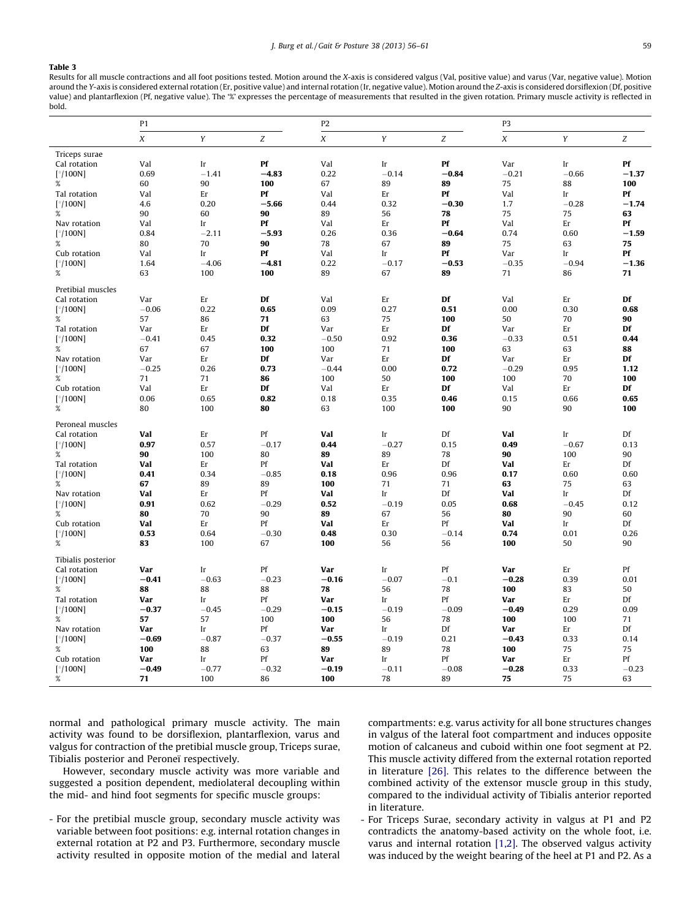#### <span id="page-3-0"></span>Table 3

Results for all muscle contractions and all foot positions tested. Motion around the X-axis is considered valgus (Val, positive value) and varus (Var, negative value). Motion around the Y-axis is considered external rotation (Er, positive value) and internal rotation (Ir, negative value). Motion around the Z-axis is considered dorsiflexion (Df, positive value) and plantarflexion (Pf, negative value). The '%' expresses the percentage of measurements that resulted in the given rotation. Primary muscle activity is reflected in bold.

|                    | P1               |            |               | P <sub>2</sub> |               |                  | P3          |               |            |
|--------------------|------------------|------------|---------------|----------------|---------------|------------------|-------------|---------------|------------|
|                    | $\boldsymbol{X}$ | Y          | Z             | X              | Y             | $\boldsymbol{Z}$ | X           | Y             | Z          |
| Triceps surae      |                  |            |               |                |               |                  |             |               |            |
| Cal rotation       | Val              | Ir         | Pf            | Val            | Ir            | Pf               | Var         | Ir            | Pf         |
| [°/100N]           | 0.69             | $-1.41$    | $-4.83$       | 0.22           | $-0.14$       | $-0.84$          | $-0.21$     | $-0.66$       | $-1.37$    |
| $\%$               | 60               | 90         | 100           | 67             | 89            | 89               | 75          | 88            | 100        |
| Tal rotation       | Val              | Er         | Pf            | Val            | Er            | Pf               | Val         | Ir            | Pf         |
| $[^{\circ}/100N]$  | 4.6              | 0.20       | $-5.66$       | 0.44           | 0.32          | $-0.30$          | 1.7         | $-0.28$       | $-1.74$    |
| $\%$               | 90               | 60         | 90            | 89             | 56            | 78               | 75          | 75            | 63         |
| Nav rotation       | Val              | Ir         | Pf            | Val            | Er            | Pf               | Val         | Er            | Pf         |
| [°/100N]           | 0.84             | $-2.11$    | $-5.93$       | 0.26           | 0.36          | $-0.64$          | 0.74        | 0.60          | $-1.59$    |
| %                  | 80               | 70         | 90            | 78             | 67            | 89               | 75          | 63            | 75         |
| Cub rotation       | Val              | Ir         | Pf            | Val            | Ir            | Pf               | Var         | Ir            | Pf         |
| [°/100N]           | 1.64             | $-4.06$    | $-4.81$       | 0.22           | $-0.17$       | $-0.53$          | $-0.35$     | $-0.94$       | $-1.36$    |
| %                  | 63               | 100        | 100           | 89             | 67            | 89               | 71          | 86            | 71         |
| Pretibial muscles  |                  |            |               |                |               |                  |             |               |            |
| Cal rotation       | Var              | Er         | Df            | Val            | Er            | Df               | Val         | Er            | Df         |
| $[^{\circ}/100N]$  | $-0.06$          | 0.22       | 0.65          | 0.09           | 0.27          | 0.51             | 0.00        | 0.30          | 0.68       |
| $\%$               | 57               | 86         | 71            | 63             | 75            | 100              | 50          | 70            | 90         |
| Tal rotation       | Var              | Er         | Df            | Var            | Er            | Df               | Var         | Er            | Df<br>0.44 |
| $[\degree/100N]$   | $-0.41$<br>67    | 0.45<br>67 | 0.32<br>100   | $-0.50$        | 0.92          | 0.36             | $-0.33$     | 0.51<br>63    |            |
| $\%$               | Var              | Er         | Df            | 100<br>Var     | 71<br>Er      | 100<br>Df        | 63<br>Var   | Er            | 88<br>Df   |
| Nav rotation       | $-0.25$          | 0.26       | 0.73          | $-0.44$        | 0.00          | 0.72             | $-0.29$     | 0.95          | 1.12       |
| [°/100N]<br>$\%$   | 71               | 71         | 86            | 100            | 50            | 100              | 100         | 70            | 100        |
| Cub rotation       | Val              | Er         | Df            | Val            | Er            | Df               | Val         | Er            | Df         |
| $[^{\circ}/100N]$  | 0.06             | 0.65       | 0.82          | 0.18           | 0.35          | 0.46             | 0.15        | 0.66          | 0.65       |
| $\%$               | 80               | 100        | 80            | 63             | 100           | 100              | 90          | 90            | 100        |
|                    |                  |            |               |                |               |                  |             |               |            |
| Peroneal muscles   |                  |            |               |                |               |                  |             |               |            |
| Cal rotation       | Val<br>0.97      | Er<br>0.57 | Pf<br>$-0.17$ | Val<br>0.44    | Ir<br>$-0.27$ | Df<br>0.15       | Val<br>0.49 | Ir<br>$-0.67$ | Df<br>0.13 |
| [°/100N]<br>$\%$   | 90               | 100        | 80            | 89             | 89            | 78               | 90          | 100           | 90         |
| Tal rotation       | Val              | Er         | Pf            | Val            | Er            | Df               | Val         | Er            | Df         |
| $[^{\circ}/100N]$  | 0.41             | 0.34       | $-0.85$       | 0.18           | 0.96          | 0.96             | 0.17        | 0.60          | 0.60       |
| $\%$               | 67               | 89         | 89            | 100            | 71            | 71               | 63          | 75            | 63         |
| Nav rotation       | Val              | Er         | Pf            | Val            | Ir            | Df               | Val         | Ir            | Df         |
| [°/100N]           | 0.91             | 0.62       | $-0.29$       | 0.52           | $-0.19$       | 0.05             | 0.68        | $-0.45$       | 0.12       |
| %                  | 80               | 70         | 90            | 89             | 67            | 56               | 80          | 90            | 60         |
| Cub rotation       | Val              | Er         | Pf            | Val            | Er            | Pf               | Val         | Ir            | Df         |
| $[^{\circ}/100N]$  | 0.53             | 0.64       | $-0.30$       | 0.48           | 0.30          | $-0.14$          | 0.74        | 0.01          | 0.26       |
| $\%$               | 83               | 100        | 67            | 100            | 56            | 56               | 100         | 50            | 90         |
| Tibialis posterior |                  |            |               |                |               |                  |             |               |            |
| Cal rotation       | Var              | Ir         | Pf            | Var            | Ir            | Pf               | Var         | Er            | Pf         |
| $[^{\circ}/100N]$  | $-0.41$          | $-0.63$    | $-0.23$       | $-0.16$        | $-0.07$       | $-0.1$           | $-0.28$     | 0.39          | 0.01       |
| %                  | 88               | 88         | 88            | 78             | 56            | 78               | 100         | 83            | 50         |
| Tal rotation       | Var              | Ir         | Pf            | Var            | Ir            | Pf               | Var         | Er            | Df         |
| $[^\circ/100N]$    | $-0.37$          | $-0.45$    | $-0.29$       | $-0.15$        | $-0.19$       | $-0.09$          | $-0.49$     | 0.29          | 0.09       |
| $\%$               | 57               | 57         | 100           | 100            | 56            | 78               | 100         | 100           | 71         |
| Nav rotation       | Var              | Ir         | Pf            | Var            | Ir            | Df               | Var         | Er            | Df         |
| [°/100N]           | $-0.69$          | $-0.87$    | $-0.37$       | $-0.55$        | $-0.19$       | 0.21             | $-0.43$     | 0.33          | 0.14       |
| $\%$               | 100              | 88         | 63            | 89             | 89            | 78               | 100         | 75            | 75         |
| Cub rotation       | Var              | Ir         | Pf            | Var            | Ir            | Pf               | Var         | Er            | Pf         |
| $[°/100N]$         | $-0.49$          | $-0.77$    | $-0.32$       | $-0.19$        | $-0.11$       | $-0.08$          | $-0.28$     | 0.33          | $-0.23$    |
| $\%$               | 71               | 100        | 86            | 100            | 78            | 89               | 75          | 75            | 63         |

normal and pathological primary muscle activity. The main activity was found to be dorsiflexion, plantarflexion, varus and valgus for contraction of the pretibial muscle group, Triceps surae, Tibialis posterior and Peroneï respectively.

However, secondary muscle activity was more variable and suggested a position dependent, mediolateral decoupling within the mid- and hind foot segments for specific muscle groups:

- For the pretibial muscle group, secondary muscle activity was variable between foot positions: e.g. internal rotation changes in external rotation at P2 and P3. Furthermore, secondary muscle activity resulted in opposite motion of the medial and lateral compartments: e.g. varus activity for all bone structures changes in valgus of the lateral foot compartment and induces opposite motion of calcaneus and cuboid within one foot segment at P2. This muscle activity differed from the external rotation reported in literature [\[26\].](#page-5-0) This relates to the difference between the combined activity of the extensor muscle group in this study, compared to the individual activity of Tibialis anterior reported in literature.

- For Triceps Surae, secondary activity in valgus at P1 and P2 contradicts the anatomy-based activity on the whole foot, i.e. varus and internal rotation [\[1,2\]](#page-4-0). The observed valgus activity was induced by the weight bearing of the heel at P1 and P2. As a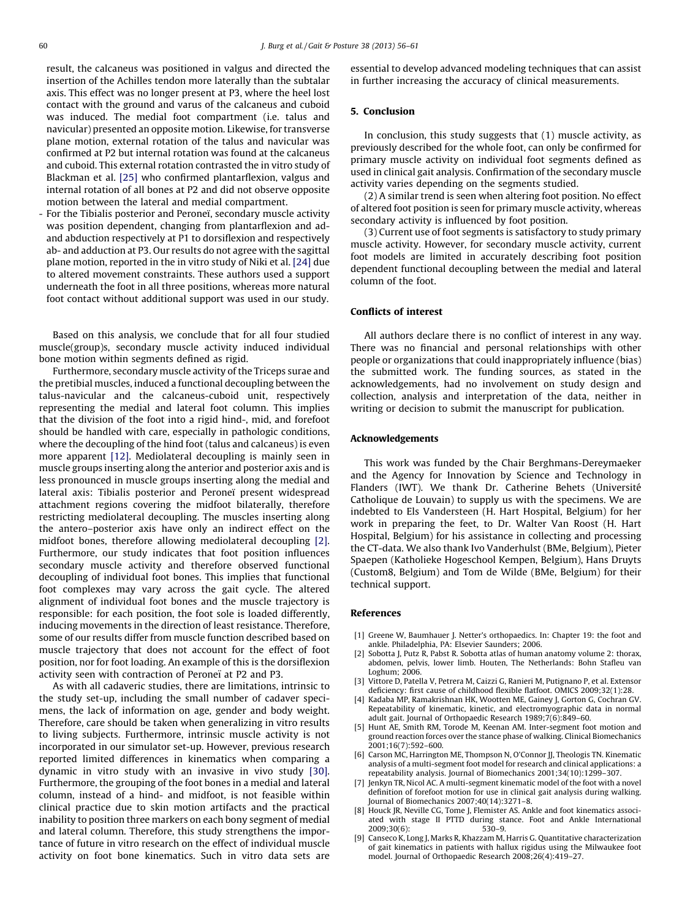<span id="page-4-0"></span>result, the calcaneus was positioned in valgus and directed the insertion of the Achilles tendon more laterally than the subtalar axis. This effect was no longer present at P3, where the heel lost contact with the ground and varus of the calcaneus and cuboid was induced. The medial foot compartment (i.e. talus and navicular) presented an opposite motion. Likewise, for transverse plane motion, external rotation of the talus and navicular was confirmed at P2 but internal rotation was found at the calcaneus and cuboid. This external rotation contrasted the in vitro study of Blackman et al. [\[25\]](#page-5-0) who confirmed plantarflexion, valgus and internal rotation of all bones at P2 and did not observe opposite motion between the lateral and medial compartment.

- For the Tibialis posterior and Peroneï, secondary muscle activity was position dependent, changing from plantarflexion and adand abduction respectively at P1 to dorsiflexion and respectively ab- and adduction at P3. Our results do not agree with the sagittal plane motion, reported in the in vitro study of Niki et al. [\[24\]](#page-5-0) due to altered movement constraints. These authors used a support underneath the foot in all three positions, whereas more natural foot contact without additional support was used in our study.

Based on this analysis, we conclude that for all four studied muscle(group)s, secondary muscle activity induced individual bone motion within segments defined as rigid.

Furthermore, secondary muscle activity of the Triceps surae and the pretibial muscles, induced a functional decoupling between the talus-navicular and the calcaneus-cuboid unit, respectively representing the medial and lateral foot column. This implies that the division of the foot into a rigid hind-, mid, and forefoot should be handled with care, especially in pathologic conditions, where the decoupling of the hind foot (talus and calcaneus) is even more apparent [\[12\]](#page-5-0). Mediolateral decoupling is mainly seen in muscle groups inserting along the anterior and posterior axis and is less pronounced in muscle groups inserting along the medial and lateral axis: Tibialis posterior and Peroneï present widespread attachment regions covering the midfoot bilaterally, therefore restricting mediolateral decoupling. The muscles inserting along the antero–posterior axis have only an indirect effect on the midfoot bones, therefore allowing mediolateral decoupling [2]. Furthermore, our study indicates that foot position influences secondary muscle activity and therefore observed functional decoupling of individual foot bones. This implies that functional foot complexes may vary across the gait cycle. The altered alignment of individual foot bones and the muscle trajectory is responsible: for each position, the foot sole is loaded differently, inducing movements in the direction of least resistance. Therefore, some of our results differ from muscle function described based on muscle trajectory that does not account for the effect of foot position, nor for foot loading. An example of this is the dorsiflexion activity seen with contraction of Peroneï at P2 and P3.

As with all cadaveric studies, there are limitations, intrinsic to the study set-up, including the small number of cadaver specimens, the lack of information on age, gender and body weight. Therefore, care should be taken when generalizing in vitro results to living subjects. Furthermore, intrinsic muscle activity is not incorporated in our simulator set-up. However, previous research reported limited differences in kinematics when comparing a dynamic in vitro study with an invasive in vivo study [\[30\].](#page-5-0) Furthermore, the grouping of the foot bones in a medial and lateral column, instead of a hind- and midfoot, is not feasible within clinical practice due to skin motion artifacts and the practical inability to position three markers on each bony segment of medial and lateral column. Therefore, this study strengthens the importance of future in vitro research on the effect of individual muscle activity on foot bone kinematics. Such in vitro data sets are

essential to develop advanced modeling techniques that can assist in further increasing the accuracy of clinical measurements.

# 5. Conclusion

In conclusion, this study suggests that (1) muscle activity, as previously described for the whole foot, can only be confirmed for primary muscle activity on individual foot segments defined as used in clinical gait analysis. Confirmation of the secondary muscle activity varies depending on the segments studied.

(2) A similar trend is seen when altering foot position. No effect of altered foot position is seen for primary muscle activity, whereas secondary activity is influenced by foot position.

(3) Current use of foot segments is satisfactory to study primary muscle activity. However, for secondary muscle activity, current foot models are limited in accurately describing foot position dependent functional decoupling between the medial and lateral column of the foot.

#### Conflicts of interest

All authors declare there is no conflict of interest in any way. There was no financial and personal relationships with other people or organizations that could inappropriately influence (bias) the submitted work. The funding sources, as stated in the acknowledgements, had no involvement on study design and collection, analysis and interpretation of the data, neither in writing or decision to submit the manuscript for publication.

#### Acknowledgements

This work was funded by the Chair Berghmans-Dereymaeker and the Agency for Innovation by Science and Technology in Flanders (IWT). We thank Dr. Catherine Behets (Université Catholique de Louvain) to supply us with the specimens. We are indebted to Els Vandersteen (H. Hart Hospital, Belgium) for her work in preparing the feet, to Dr. Walter Van Roost (H. Hart Hospital, Belgium) for his assistance in collecting and processing the CT-data. We also thank Ivo Vanderhulst (BMe, Belgium), Pieter Spaepen (Katholieke Hogeschool Kempen, Belgium), Hans Druyts (Custom8, Belgium) and Tom de Wilde (BMe, Belgium) for their technical support.

#### References

- [1] Greene W, Baumhauer J. Netter's orthopaedics. In: Chapter 19: the foot and ankle. Philadelphia, PA: Elsevier Saunders; 2006.
- [2] Sobotta J, Putz R, Pabst R. Sobotta atlas of human anatomy volume 2: thorax, abdomen, pelvis, lower limb. Houten, The Netherlands: Bohn Stafleu van Loghum; 2006.
- Vittore D, Patella V, Petrera M, Caizzi G, Ranieri M, Putignano P, et al. Extensor deficiency: first cause of childhood flexible flatfoot. OMICS 2009;32(1):28.
- [4] Kadaba MP, Ramakrishnan HK, Wootten ME, Gainey J, Gorton G, Cochran GV. Repeatability of kinematic, kinetic, and electromyographic data in normal adult gait. Journal of Orthopaedic Research 1989;7(6):849–60.
- [5] Hunt AE, Smith RM, Torode M, Keenan AM. Inter-segment foot motion and ground reaction forces over the stance phase of walking. Clinical Biomechanics 2001;16(7):592–600.
- [6] Carson MC, Harrington ME, Thompson N, O'Connor JJ, Theologis TN. Kinematic analysis of a multi-segment foot model for research and clinical applications: a repeatability analysis. Journal of Biomechanics 2001;34(10):1299–307.
- [7] Jenkyn TR, Nicol AC. A multi-segment kinematic model of the foot with a novel definition of forefoot motion for use in clinical gait analysis during walking. Journal of Biomechanics 2007;40(14):3271–8.
- [8] Houck JR, Neville CG, Tome J, Flemister AS. Ankle and foot kinematics associated with stage II PTTD during stance. Foot and Ankle International 2009;30(6): 530–9.
- [9] Canseco K, Long J, Marks R, Khazzam M, Harris G. Quantitative characterization of gait kinematics in patients with hallux rigidus using the Milwaukee foot model. Journal of Orthopaedic Research 2008;26(4):419–27.